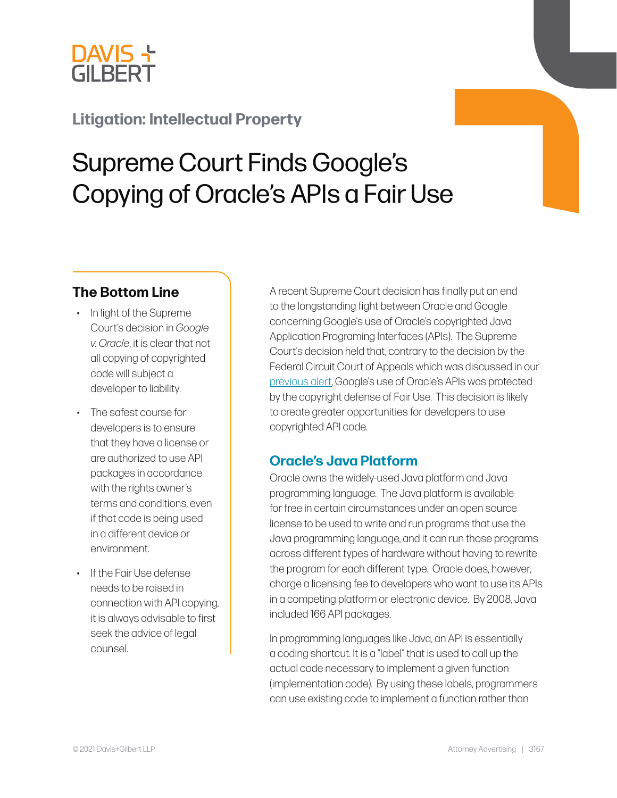

## **Litigation: Intellectual Property**

# Supreme Court Finds Google's Copying of Oracle's APIs a Fair Use

#### **The Bottom Line**

- In light of the Supreme Court's decision in *Google v. Oracle*, it is clear that not all copying of copyrighted code will subject a developer to liability.
- The safest course for developers is to ensure that they have a license or are authorized to use API packages in accordance with the rights owner's terms and conditions, even if that code is being used in a different device or environment.
- If the Fair Use defense needs to be raised in connection with API copying, it is always advisable to first seek the advice of legal counsel.

A recent Supreme Court decision has finally put an end to the longstanding fight between Oracle and Google concerning Google's use of Oracle's copyrighted Java Application Programing Interfaces (APIs). The Supreme Court's decision held that, contrary to the [decision](https://dglaw.com/press-alert-details.cfm?id=835) by the Federal Circuit Court of Appeals which was discussed in our [previous alert](https://www.dglaw.com/press-alert-details.cfm?id=835), Google's use of Oracle's APIs was protected by the copyright defense of Fair Use. This decision is likely to create greater opportunities for developers to use copyrighted API code.

#### **Oracle's Java Platform**

Oracle owns the widely-used Java platform and Java programming language. The Java platform is available for free in certain circumstances under an open source license to be used to write and run programs that use the Java programming language, and it can run those programs across different types of hardware without having to rewrite the program for each different type. Oracle does, however, charge a licensing fee to developers who want to use its APIs in a competing platform or electronic device. By 2008, Java included 166 API packages.

In programming languages like Java, an API is essentially a coding shortcut. It is a "label" that is used to call up the actual code necessary to implement a given function (implementation code). By using these labels, programmers can use existing code to implement a function rather than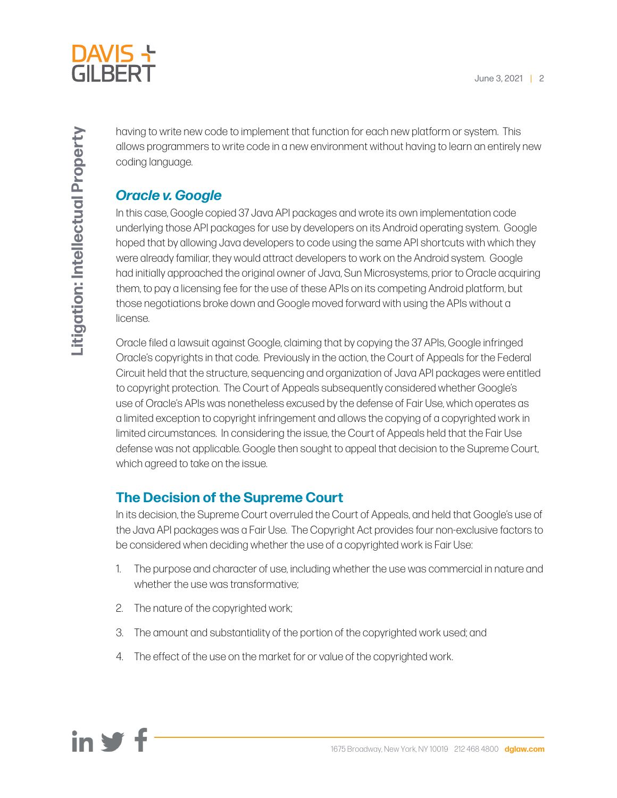

having to write new code to implement that function for each new platform or system. This allows programmers to write code in a new environment without having to learn an entirely new coding language.

#### *Oracle v. Google*

In this case, Google copied 37 Java API packages and wrote its own implementation code underlying those API packages for use by developers on its Android operating system. Google hoped that by allowing Java developers to code using the same API shortcuts with which they were already familiar, they would attract developers to work on the Android system. Google had initially approached the original owner of Java, Sun Microsystems, prior to Oracle acquiring them, to pay a licensing fee for the use of these APIs on its competing Android platform, but those negotiations broke down and Google moved forward with using the APIs without a license.

Oracle filed a lawsuit against Google, claiming that by copying the 37 APIs, Google infringed Oracle's copyrights in that code. Previously in the action, the Court of Appeals for the Federal Circuit held that the structure, sequencing and organization of Java API packages were entitled to copyright protection. The Court of Appeals subsequently considered whether Google's use of Oracle's APIs was nonetheless excused by the defense of Fair Use, which operates as a limited exception to copyright infringement and allows the copying of a copyrighted work in limited circumstances. In considering the issue, the Court of Appeals held that the Fair Use defense was not applicable. Google then sought to appeal that decision to the Supreme Court, which agreed to take on the issue.

### **The Decision of the Supreme Court**

In its decision, the Supreme Court overruled the Court of Appeals, and held that Google's use of the Java API packages was a Fair Use. The Copyright Act provides four non-exclusive factors to be considered when deciding whether the use of a copyrighted work is Fair Use:

- 1. The purpose and character of use, including whether the use was commercial in nature and whether the use was transformative;
- 2. The nature of the copyrighted work;
- 3. The amount and substantiality of the portion of the copyrighted work used; and
- 4. The effect of the use on the market for or value of the copyrighted work.